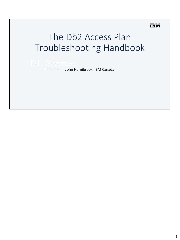### IBM

# The Db2 Access Plan Troubleshooting Handbook

John Hornibrook, IBM Canada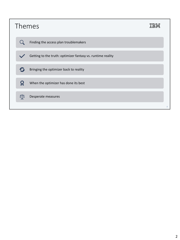| Themes                                                      |                |
|-------------------------------------------------------------|----------------|
| Finding the access plan troublemakers                       |                |
| Getting to the truth: optimizer fantasy vs. runtime reality |                |
| Bringing the optimizer back to reality                      |                |
| When the optimizer has done its best                        |                |
| Desperate measures<br>7   ⊽                                 |                |
|                                                             | $\overline{2}$ |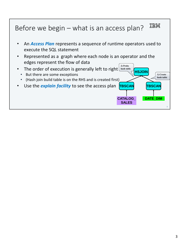### **TRM** Before we begin – what is an access plan?

- An *Access Plan* represents a sequence of runtime operators used to execute the SQL statement
- Represented as a graph where each node is an operator and the edges represent the flow of data **2) Probe**
- The order of execution is generally left to right **hash** table
	- But there are some exceptions
	- (Hash join build table is on the RHS and is created first)
- Use the *explain facility* to see the access plan **TBSCAN TBSCAN**

3

**1) Create hash table**

**DATE\_DIM**

**HSJOIN**

**CATALOG\_ SALES**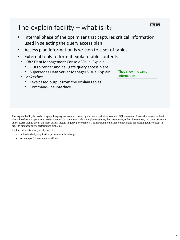### 正言語 The explain facility  $-$  what is it? • Internal phase of the optimizer that captures critical information used in selecting the query access plan • Access plan information is written to a set of tables External tools to format explain table contents: • Db2 Data Management Console Visual Explain • GUI to render and navigate query access plans They show the same • Supersedes Data Server Manager Visual Explain information • db2exfmt • Text-based output from the explain tables • Command-line interface

The explain facility is used to display the query access plan chosen by the query optimizer to run an SQL statement. It contains extensive details about the relational operations used to run the SQL statement such as the plan operators, their arguments, order of execution, and costs. Since the query access plan is one of the most critical factors in query performance, it is important to be able to understand the explain facility output in order to diagnose query performance problems.

Explain information is typically used to:

- understand why application performance has changed
- evaluate performance tuning efforts

4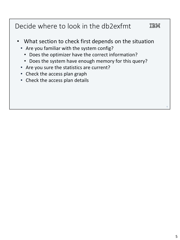#### Decide where to look in the db2exfmt IBM

- What section to check first depends on the situation
	- Are you familiar with the system config?
		- Does the optimizer have the correct information?
		- Does the system have enough memory for this query?
	- Are you sure the statistics are current?
	- Check the access plan graph
	- Check the access plan details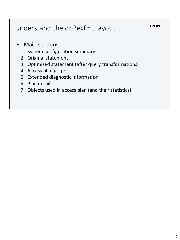| Understand the db2exfmt layout                                                                                                                                                                                                                                                 |   |
|--------------------------------------------------------------------------------------------------------------------------------------------------------------------------------------------------------------------------------------------------------------------------------|---|
| • Main sections:<br>1. System configuration summary<br>2. Original statement<br>3. Optimized statement (after query transformations)<br>4. Access plan graph<br>5. Extended diagnostic information<br>6. Plan details<br>7. Objects used in access plan (and their statistics) |   |
|                                                                                                                                                                                                                                                                                | 6 |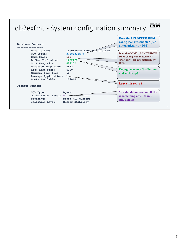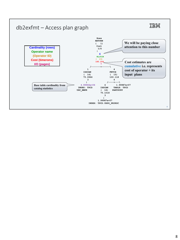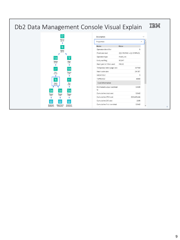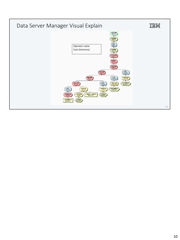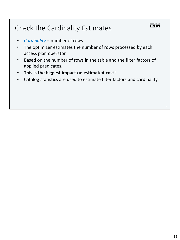# IBM Check the Cardinality Estimates • *Cardinality* = number of rows The optimizer estimates the number of rows processed by each access plan operator • Based on the number of rows in the table and the filter factors of applied predicates. • **This is the biggest impact on estimated cost!** • Catalog statistics are used to estimate filter factors and cardinality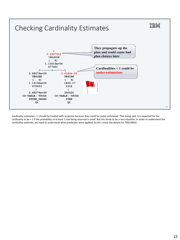

Cardinality estimates < 1 should be treated with suspicion because they could be under-estimated. That being said, it is expected for the cardinality to be < 1 if the probability of at least 1 row being returned is small. But this tends to be a rare situation. In order to understand the cardinality estimate, we need to understand what predicates were applied. So let's check the details for TBSCAN(6) …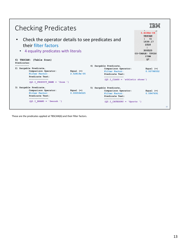

These are the predicates applied at TBSCAN(6) and their filter factors.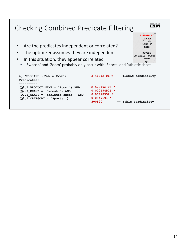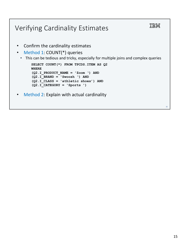### IBM Verifying Cardinality Estimates • Confirm the cardinality estimates • Method 1: COUNT(\*) queries • This can be tedious and tricky, especially for multiple joins and complex queries **SELECT COUNT(\*) FROM TPCDS.ITEM AS Q2 WHERE (Q2.I\_PRODUCT\_NAME = 'Zoom ') AND (Q2.I\_BRAND = 'Swoosh ') AND (Q2.I\_CLASS = 'athletic shoes') AND (Q2.I\_CATEGORY = 'Sports ')** Method 2: Explain with actual cardinality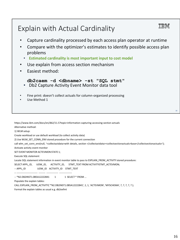# Explain with Actual Cardinality

- Capture cardinality processed by each access plan operator at runtime
- Compare with the optimizer's estimates to identify possible access plan problems
	- **Estimated cardinality is most important input to cost model**
- Use explain from access section mechanism
- Easiest method:

**db2caem -d <dbname> -st "SQL stmt"**

- Db2 Capture Activity Event Monitor data tool
- Fine print: doesn't collect actuals for column-organized processing
- Use Method 1

Create workload or use default workload (to collect activity data)

2) Use WLM\_SET\_CONN\_ENV stored procedure for the current connection

call wlm\_set\_conn\_env(null, '<collectactdata>with details, section </collectactdata><collectsectionactuals>base</collectsectionactuals>');

Activate activity event monitor

SET EVENT MONITOR ACTEVMON STATE 1;

Execute SQL statement

Alternative method: 1) WLM setup:

Locate SQL statement information in event monitor table to pass to EXPLAIN\_FROM\_ACTIVITY stored procedure:

SELECT APPL\_ID, UOW\_ID, ACTIVITY\_ID, STMT\_TEXT FROM ACTIVITYSTMT\_ACTEVMON;

-- APPL\_ID UOW\_ID ACTIVITY\_ID STMT\_TEXT

-- ------------------------- -------- -------------- ---------------

-- \*N2.DB2INST1.0B5A12222841 1 1 SELECT \* FROM ...

Populate the explain tables:

CALL EXPLAIN\_FROM\_ACTIVITY( '\*N2.DB2INST1.0B5A12222841', 1, 1, 'ACTEVMON', 'MYSCHEMA', ?, ?, ?, ?, ? );

Format the explain tables as usual e.g. db2exfmt

16

TEM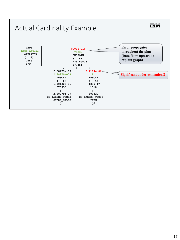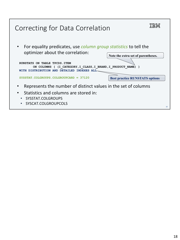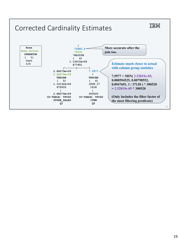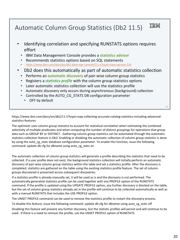#### IEM Automatic Column Group Statistics (Db2 11.5)

- Identifying correlation and specifying RUNSTATS options requires effort
	- IBM Data Management Console provides a **statistics advisor**
	- Recommends statistics options based on SQL statements
	- https://www.ibm.com/docs/en/db2-data-mgr-console/3.1.x?topic=new-version-316
- Db2 does this automatically as part of automatic statistics collection
	- Performs an **automatic discovery** of pair-wise column group statistics
	- Registers a *statistics profile* with the column group statistics options
	- Later automatic statistics collection will use the statistics profile
	- Automatic discovery only occurs during asynchronous (background) collection
	- Controlled by the AUTO\_CG\_STATS DB configuration parameter
		- OFF by default

https://www.ibm.com/docs/en/db2/11.5?topic=oap-collecting-accurate-catalog-statistics-including-advancedstatistics-features

The optimizer uses column group statistics to account for statistical correlation when estimating the combined selectivity of multiple predicates and when computing the number of distinct groupings for operations that group data such as GROUP BY or DISTINCT. Gathering column group statistics can be automated through the automatic statistics collection feature in Db2. Enabling or disabling the automatic collection of column group statistics is done by using the auto\_cg\_stats database configuration parameter. To enable this function, issue the following command: update db cfg for *dbname* using auto\_cg\_stats on

The automatic collection of column group statistics will generate a profile describing the statistics that need to be collected. If a user profile does not exist, the background statistics collection will initially perform an automatic discovery of pair-wise column group statistics within the table and set a statistics profile. After the discovery is completed, statistics are gathered on the table using the existing statistics profile feature. The set of column groups discovered is preserved across subsequent discoveries.

If a statistics profile is already manually set, it will be used as is and the discovery is not performed. The automatically generated statistics profile can be used together with any PROFILE option of the RUNSTATS command. If the profile is updated using the UPDATE PROFILE option, any further discovery is blocked on the table, but the set of column group statistics already set in the profile will continue to be collected automatically as well as with a manual RUNSTATS that includes the USE PROFILE option.

The UNSET PROFILE command can be used to remove the statistics profile to restart the discovery process.

To disable this feature, issue the following command: update db cfg for *dbname* using auto\_cg\_stats off

Disabling this feature will prevent any further discovery, but the statistic profiles will persist and will continue to be used. If there is a need to remove the profile, use the UNSET PROFILE option of RUNSTATS.

 $20$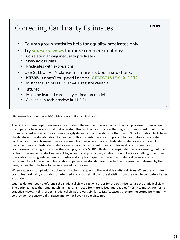## Correcting Cardinality Estimates

- Column group statistics help for equality predicates only
- Try *statistical views* for more complex situations:
- Correlation among inequality predicates
- Skew across joins
- Predicates with expressions
- Use SELECTIVITY clause for more stubborn situations:
- **WHERE <complex predicate> SELECTIVITY 0.1234**
- Must set DB2\_SELECTIVITY=ALL registry variable
- Future:
	- Machine learned cardinality estimation models
	- Available in tech preview in 11.5.5+

https://www.ibm.com/docs/en/db2/11.5?topic=optimization-statistical-views

The DB2 cost-based optimizer uses an estimate of the number of rows – or cardinality – processed by an access plan operator to accurately cost that operator. This cardinality estimate is the single most important input to the optimizer's cost model, and its accuracy largely depends upon the statistics that the RUNSTATS utility collects from the database. The statistics described earlier in this presentation are all important for computing an accurate cardinality estimate, however there are some situations where more sophisticated statistics are required. In particular, more sophisticated statistics are required to represent more complex relationships, such as comparisons involving expressions (for example, price > MSRP + Dealer\_markup), relationships spanning multiple tables (for example, product.name = 'Alloy wheels' and product.key = sales.product\_key), or anything other than predicates involving independent attributes and simple comparison operations. Statistical views are able to represent these types of complex relationships because statistics are collected on the result set returned by the view, rather than the base tables referenced by the view.

When a query is compiled, the optimizer matches the query to the available statistical views. When the optimizer computes cardinality estimates for intermediate result sets, it uses the statistics from the view to compute a better estimate.

Queries do not need to reference the statistical view directly in order for the optimizer to use the statistical view. The optimizer uses the same matching mechanism used for materialized query tables (MQTs) to match queries to statistical views. In this respect, statistical views are very similar to MQTs, except they are not stored permanently, so they do not consume disk space and do not have to be maintained.

 $21$ 

TRM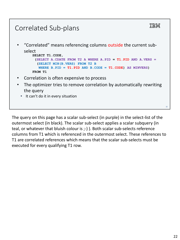### IEM Correlated Sub-plans • "Correlated" means referencing columns outside the current subselect **SELECT T1.CODE, (SELECT A.CDATE FROM T2 A WHERE A.PID = T1.PID AND A.VERS = (SELECT MIN(B.VERS) FROM T2 B**  WHERE  $B.PID = T1.PID AND B.CODE = T1.CODE) AS MINVERSE()$ **FROM T1** • Correlation is often expensive to process The optimizer tries to remove correlation by automatically rewriting the query

• It can't do it in every situation

The query on this page has a scalar sub-select (in purple) in the select-list of the outermost select (in black). The scalar sub-select applies a scalar subquery (in teal, or whatever that bluish colour is ;-) ). Both scalar sub-selects reference columns from T1 which is referenced in the outermost select. These references to T1 are correlated references which means that the scalar sub-selects must be executed for every qualifying T1 row.

 $22$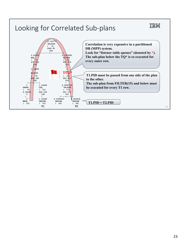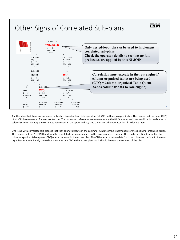#### IEM Other Signs of Correlated Sub-plans **0.110777 ^NLJOIN Only nested-loop join can be used to implement ( 6) 1442.91 correlated sub-plans. 506 /-----------+-----------\ Check the operator details to see that no join 3.43408 0.0322581 BTQ** FILTER (7) (15) **predicates are applied by this NLJOIN. ( 7) ( 15) 471.053 952.074 192 312 | | 1.14469 1 Correlation must execute in the row engine if NLJOIN DTQ\* ( 8) ( 16) column-organized tables are being used 468.185 952.037 (CTQ = Column-organized Table Queue 192 312 /----+----\ | Sends columnar data to row-engine)** 1 1.1446 **GRPBY CTQ ^NLJOIN ( 9) ( 13) ( 17) 4.04028 464.109 951.173 0 192 312 | | /----+-----\ 3 1.14469 0.0308423 0.281818 MBTQ TBSCAN TBSCAN TBSCAN** 24 **( 10) ( 14) ( 18) ( 26)**

Another clue that there are correlated sub-plans is nested-loop join operators (NLJOIN) with no join predicates. This means that the inner (RHS) of NLJOIN is re-executed for every outer row. The correlated references are somewhere in the NLJOIN inner and they could be in predicates or select-list items. Identify the correlated references in the optimized SQL and then check the operator details to locate them.

One issue with correlated sub-plans is that they cannot execute in the columnar runtime if the statement references column-organized tables. This means that the NLJOIN that drives the correlated sub-plan executes in the row-organized runtime. This can be identified by looking for column-organized table queue (CTQ) operators lower in the access plan. The CTQ operator passes data from the columnar runtime to the roworganized runtime. Ideally there should only be one CTQ in the access plan and it should be near the very top of the plan.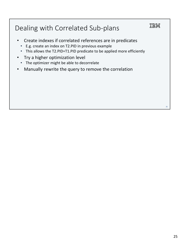# Dealing with Correlated Sub-plans

- Create indexes if correlated references are in predicates
	- E.g. create an index on T2.PID in previous example
	- This allows the T2.PID=T1.PID predicate to be applied more efficiently
- Try a higher optimization level
- The optimizer might be able to decorrelate
- Manually rewrite the query to remove the correlation

IBM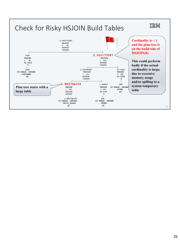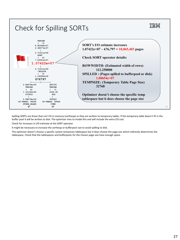

Spilling SORTs are those that can't fit in memory (sortheap) so they are written to temporary tables. If the temporary table doesn't fit in the buffer pool it will be written to disk. The optimizer tries to model this and will include the extra I/O cost.

Check for increases in I/O estimate at the SORT operator.

It might be necessary to increase the sortheap or bufferpool size to avoid spilling to disk.

The optimizer doesn't choose a specific system temporary tablespace but it does choose the page size which indirectly determines the tablespace. Check that the tablespaces and bufferpools for the chosen page size have enough space.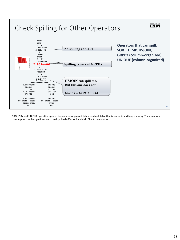

GROUP BY and UNIQUE operations processing column-organized data use a hash table that is stored in sortheap memory. Their memory consumption can be significant and could spill to bufferpool and disk. Check them out too.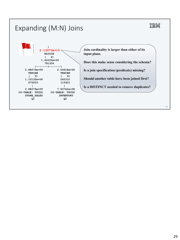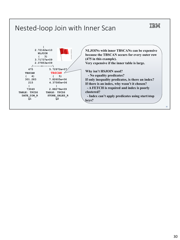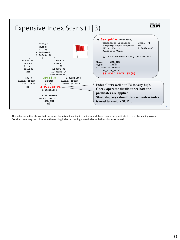

The index definition shows that the join column is not leading in the index and there is no other predicate to cover the leading column. Consider reversing the columns in the existing index or creating a new index with the columns reversed.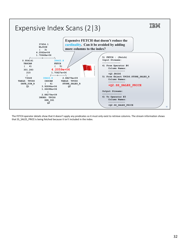

The FETCH operator details show that it doesn't apply any predicates so it must only exist to retrieve columns. The stream information shows that SS\_SALES\_PRICE is being fetched because it isn't included in the index.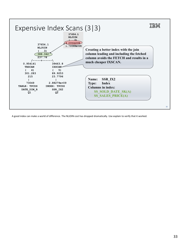

A good index can make a world of difference. The NLJOIN cost has dropped dramatically. Use explain to verify that it worked.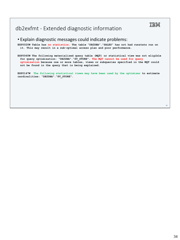### db2exfmt - Extended diagnostic information

### • Explain diagnostic messages could indicate problems:

**EXP0020W Table has no statistics. The table "DB2DBA"."SALES" has not had runstats run on it. This may result in a sub-optimal access plan and poor performance.**

**EXP0060W The following materialized query table (MQT) or statistical view was not eligible for query optimization: "DB2DBA"."SV\_STORE". The MQT cannot be used for query optimization because one or more tables, views or subqueries specified in the MQT could not be found in the query that is being explained.**

**EXP0147W The following statistical views may have been used by the optimizer to estimate cardinalities: "DB2DBA"."SV\_STORE".**

34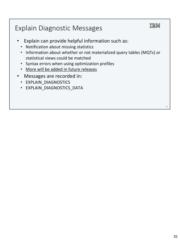# Explain Diagnostic Messages

- Explain can provide helpful information such as:
	- Notification about missing statistics
	- Information about whether or not materialized query tables (MQTs) or statistical views could be matched
	- Syntax errors when using optimization profiles
	- More will be added in future releases
- Messages are recorded in:
	- EXPLAIN\_DIAGNOSTICS
	- EXPLAIN\_DIAGNOSTICS\_DATA

IBM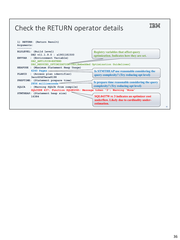### Check the RETURN operator details

36 **1) RETURN: (Return Result) Arguments: --------- BLDLEVEL: (Build level) DB2 v11.1.9.0 : s1901181500 ENVVAR : (Environment Variable) DB2\_ANTIJOIN=EXTEND DB2\_REDUCED\_OPTIMIZATION=YES[Embedded Optimization Guidelines] HEAPUSE : (Maximum Statement Heap Usage) 6240 Pages PLANID : (Access plan identifier) 3ecc6fdf9ece8198 PREPTIME: (Statement prepare time) 2856 milliseconds SQLCA : (Warning SQLCA from compile) SQLCODE 437; Function SQLNO26D; Message token '3'; Warning 'None' STMTHEAP: (Statement heap size) 16384 Registry variables that affect query optimization. Indicates how they are set. Is prepare time reasonable considering the query complexity? (Try reducing opt level) Is STMTHEAP use reasonable considering the query complexity? (Try reducing opt level) SQL0437W rc 3 indicates an optimizer cost underflow. Likely due to cardinality underestimation.**

IBM